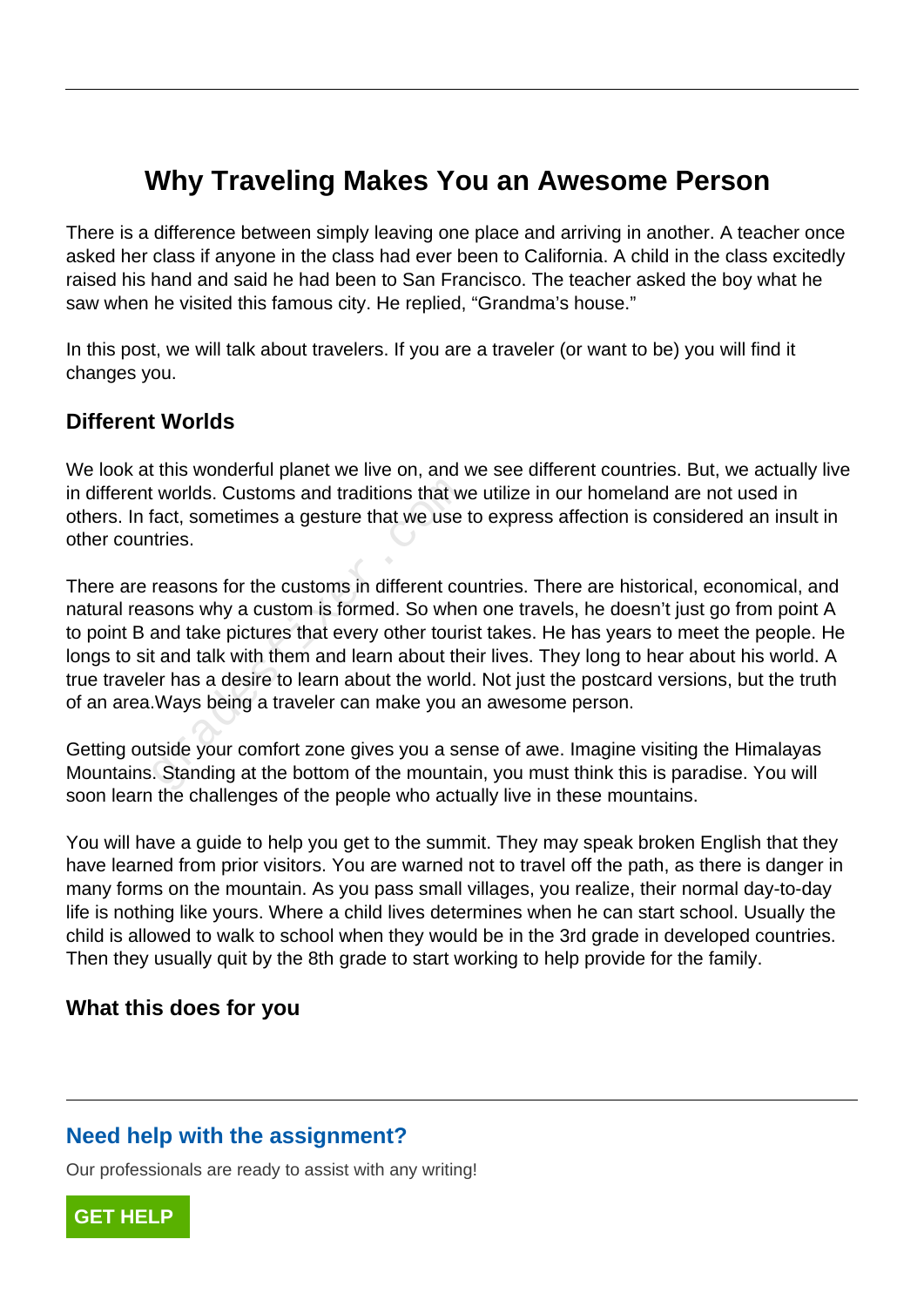# **Why Traveling Makes You an Awesome Person**

There is a difference between simply leaving one place and arriving in another. A teacher once asked her class if anyone in the class had ever been to California. A child in the class excitedly raised his hand and said he had been to San Francisco. The teacher asked the boy what he saw when he visited this famous city. He replied, "Grandma's house."

In this post, we will talk about travelers. If you are a traveler (or want to be) you will find it changes you.

#### **Different Worlds**

We look at this wonderful planet we live on, and we see different countries. But, we actually live in different worlds. Customs and traditions that we utilize in our homeland are not used in others. In fact, sometimes a gesture that we use to express affection is considered an insult in other countries.

There are reasons for the customs in different countries. There are historical, economical, and natural reasons why a custom is formed. So when one travels, he doesn't just go from point A to point B and take pictures that every other tourist takes. He has years to meet the people. He longs to sit and talk with them and learn about their lives. They long to hear about his world. A true traveler has a desire to learn about the world. Not just the postcard versions, but the truth of an area.Ways being a traveler can make you an awesome person. worlds. Customs and traditions that w<br>fact, sometimes a gesture that we use<br>tries.<br>reasons for the customs in different co<br>sons why a custom is formed. So whe<br>and take pictures that every other touri<br>t and talk with them a

Getting outside your comfort zone gives you a sense of awe. Imagine visiting the Himalayas Mountains. Standing at the bottom of the mountain, you must think this is paradise. You will soon learn the challenges of the people who actually live in these mountains.

You will have a guide to help you get to the summit. They may speak broken English that they have learned from prior visitors. You are warned not to travel off the path, as there is danger in many forms on the mountain. As you pass small villages, you realize, their normal day-to-day life is nothing like yours. Where a child lives determines when he can start school. Usually the child is allowed to walk to school when they would be in the 3rd grade in developed countries. Then they usually quit by the 8th grade to start working to help provide for the family.

#### **What this does for you**

## **Need help with the assignment?**

Our professionals are ready to assist with any writing!

**[GET HELP](https://my.gradesfixer.com/order?utm_campaign=pdf_sample)**